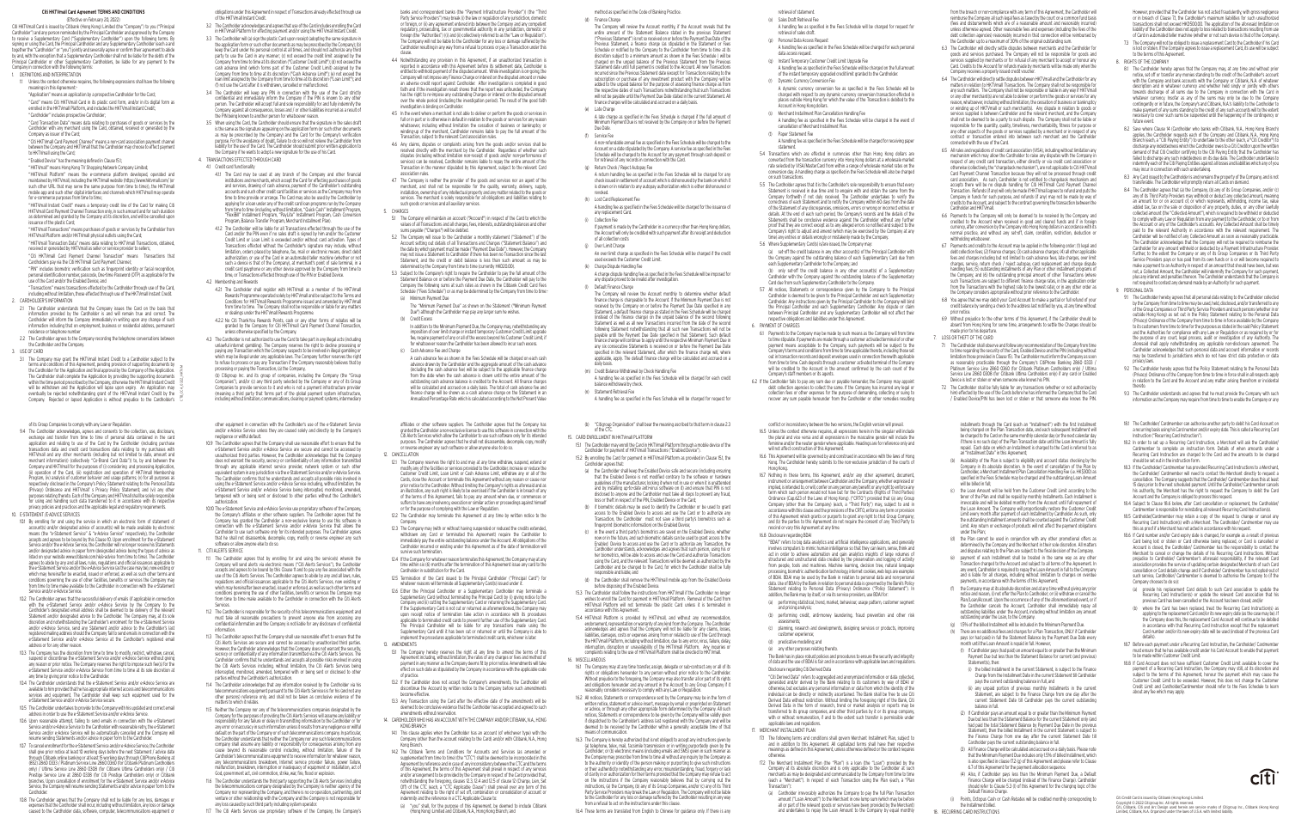retrieval of statement.

- (o) Sales Draft Retrieval Fee A handling fee as specified in the Fees Schedule will be charged for request for retrieval of sales draft.
- (p) Personal Data Access Request A handling fee as specified in the Fees Schedule will be charged for each personal
- data access request. (q) Instant Temporary Customer Credit Limit Upgrade Fee
- A handling fee as specified in the Fees Schedule will be charged on the full amount of the instant temporary upgraded credit limit granted to the Cardholder. (r) Dynamic Currency Conversion Fee
- A dynamic currency conversion fee as specified in the Fees Schedule will be charged with respect to any dynamic currency conversion transaction effected in places outside Hong Kong for which the value of the Transaction is debited to the Account in Hong Kong dollars.
- (s) Merchant Installment Plan Cancellation Handling Fee
- A handling fee as specified in the Fees Schedule will be charged in the event of cancellation of Merchant Installment Plan.
- (t) Paper Statement Fee A handling fee as specified in the Fees Schedule will be charged for receiving paper statement.
- 5.4 Transactions which are effected in currencies other than Hong Kong dollars are converted from the transaction currency into Hong Kong dollars at a wholesale market rate selected by VISA/MasterCard from within a range of wholesale market rates on the conversion day. A handling charge as specified in the Fees Schedule will also be charged on such transactions.
- 5.5 The Cardholder agrees that it is the Cardholder's sole responsibility to ensure that every tatement is received in due time and to enquire with and obtain the same from the Company forthwith if not duly received. The Cardholder undertakes to verify the correctness of each Statement and to notify the Company within 60 days from the date of the Statement of any discrepancies, omissions, errors or wrong or incorrect entries or details. At the end of each such period, the Company's records and the details of the Statements shall be conclusive evidence against the Cardholder without any further proof that they are correct except as to any alleged errors so notified and subject to the Company's right to adjust and amend (which may be exercised by the Company at any time) any entries or details wrongly or mistakenly made by the Company.
- 5.6 Where Supplementary Card(s) is/are issued, the Company may:
- (a) set-off the credit balance in any other account(s) of the Principal Cardholder with the Company against the outstanding balance of each Supplementary Card due from each Supplementary Cardholder to the Company; and
- (b) only set-off the credit balance in any other account(s) of a Supplementary Cardholder with the Company against the outstanding balance of the Supplementary Card due from such Supplementary Cardholder to the Company.
- 5.7 All notices, Statements or correspondence given by the Company to the Principal Cardholder is deemed to be given to the Principal Cardholder and each Supplementary Cardholder. Any instructions given by the Principal Cardholder to the Company will bind the Principal Cardholder and each Supplementary Cardholder. Any dispute or claim between Principal Cardholder and any Supplementary Cardholder will not affect their respective obligations and liabilities under this Agreement.
- 6. PAYMENT OF CHARGES
- 6.1 Payments to the Company may be made by such means as the Company will from time to time stipulate. If payments are made through a customer activated terminal of or other payment means acceptable to the Company, such payments will be subject to the Company's terms and conditions from time to time applicable thereto, including those set out in transaction records and deposit envelopes used in connection therewith applicable from time to time. Cash deposits through a customer activated terminal of the Company will be credited to the Account in the amount confirmed by the cash count of the Company's staff members or its agents.
- 6.2 If the Cardholder fails to pay any sum due or payable hereunder, the Company may appoint debt collection agencies to collect the same. If the Company has incurred any legal or collection fees or other expenses for the purpose of demanding, collecting or suing to recover any sum payable hereunder from the Cardholder or other remedies resulting

"PIN" includes biometric verification such as fingerprint identity or facial recognition personal identification number, passcode, One-time Password (OTP) as applicable for the use of the Card and/or the Enabled Device; and

### **Citi HKTVmall Card Agreement TERMS AND CONDITIONS**

(Effective on February 20, 2022)

Citi HKTVmall Card is issued by Citibank (Hong Kong) Limited (the "Company") to you ("Principal Cardholder") and any person nominated by the Principal Cardholder and approved by the Company to receive a Supplementary Card ("Supplementary Cardholder") upon the following terms. By signing or using the Card, the Principal Cardholder and any Supplementary Cardholder (each a and together the "Cardholder" or "you") jointly and severally agree or confirm their agreement to abide by and, with the exception that a Supplementary Cardholder shall not be liable for the debts of the Principal Cardholder or other Supplementary Cardholders, be liable for any payment to the Company in connection with the following terms:

- 1. DEFINITIONS AND INTERPRETATION
- 1.1 Unless the context otherwise requires, the following expressions shall have the following meanings in this Agreement:-
- "Application" means an application by a prospective Cardholder for the Card; "Card" means Citi HKTVmall Card in its plastic card form, and/or in its digital form as enrolled in the HKTVmall Platform, and includes the HKTVmall Instant Credit;

 "Cardholder" includes prospective Cardholder; "Card Transaction Data" means data relating to purchases of goods or services by the Cardholder with any merchant using the Card, obtained, received or generated by the Company as issuer of the Card;

 "Citi HKTVmall Card Payment Channel" means a non-card association payment channel between the Company and HKTVmall that the Cardholder may choose to effect payment to HKTVmall using the Card;

"Enabled Device" has the meaning defined in Clause 15.1;

"HKTVmall" means Hong Kong TV Shopping Network Company Limited;

 "HKTVmall Platform" means the e-commerce platform developed, operated and maintained by HKTVmall, including the HKTVmall website (https://www.hktvmall.com/ (or such other URL that may serve the same purpose from time to time)), the HKTVma mobile app and such other digital interfaces and channels which HKTVmall may operate for e-commerce purposes from time to time;

 "HKTVmall Instant Credit" means a temporary credit line of the Card for making Citi HKTVmall Card Payment Channel Transaction only, in such amount and for such duration as determined and granted by the Company at its discretion, and will be cancelled upon issuance of the plastic Card;

> (b) Citigroup Inc. and its group of companies, including the Company (the "Group Companies"), and/or (c) any third party selected by the Company or any of its Group Companies to provide services to it and who is not a payment infrastructure provide (meaning a third party that forms part of the global payment system infrastructure, including without limitation, communications, clearing or payment systems, intermediary

- "HKTVmall Transactions" means purchases of goods or services by the Cardholder from HKTVmall Platform and/or HKTVmall physical outlets using the Card;
- "HKTVmall Transaction Data" means data relating to HKTVmall Transactions, obtained, received or generated by HKTVmall as seller or service provider to sellers;
- "Citi HKTVmall Card Payment Channel Transaction" means Transactions that Cardholders pay via the Citi HKTVmall Card Payment Channel;

obligations under this Agreement in respect of Transactions already effected through use of the HKTVmall Instant Credit.

> If payment is made by the Cardholder in a currency other than Hong Kong dollars, the Account will only be credited with such payment after its receipt and deduction

- 3.2 The Cardholder acknowledges and agrees that use of the Card includes enrolling the Card in HKTVmall Platform for effecting payment and/or using the HKTVmall Instant Credit.
- 3.3 The Cardholder will (a) sign the plastic Card upon receipt (adopting the same signature in the application form or such other documents as may be prescribed by the Company); (b) keep the Card under his personal control at all times, and should not authorize any third party to use the Card in any manner; (c) not exceed the credit limit assigned by the npany from time to time at its discretion ("Customer Credit Limit"); (d) not exceed the cash advance limit (which forms part of the Customer Credit Limit) assigned by the Company from time to time at its discretion ("Cash Advance Limit"); (e) not exceed the loan limit assigned by the Company from time to time at its discretion ("Loan Limit"); and (f) not use the Card after it is withdrawn, cancelled or malfunctioned.
- 3.4 The Cardholder will keep any PIN in connection with the use of the Card strictly confidential and immediately inform the Company if the PIN is known to any other person. The Cardholder will accept full and sole responsibility for and fully indemnify the Company against all consequences, losses and / or other liabilities incurred as a result of the PIN being known to another person for whatsoever reason.
- 3.5 When using the Card, the Cardholder should ensure that the signature in the sales draft is the same as the signature appearing on the application form (or such other documents as may be prescribed by the Company) and the Card for the Company's verification pose. For the avoidance of doubt, failure to do so will not relieve the Cardholder fron liability for the use of the Card. The Cardholder should submit prior written application to the Company if he wants to adopt a new signature for the use of his Card.
- 4. TRANSACTIONS EFFECTED THROUGH CARD 4.1 Credit card functionality
	- 4.1.1 The Card may be used at any branch of the Company and other financial institutions and merchants, which accept the Card for effecting purchases of goods and services, drawing of cash advance, payment of the Cardholder's outstanding accounts and such other credit card facilities or services as the Company may from time to time provide or arrange. The Card may also be used by the Cardholder by applying for a loan under any of the credit card loan programs run by the Company from time to time (including, without limitation, "Quick Cash" Installment Program, "FlexiBill" Installment Program, "PayLite" Installment Program, Cash Conversion Program, Balance Transfer Program, Merchant Installment Plan).
	- 4.1.2 The Cardholder will be liable for all Transactions effected through the use of the Card and/or the PIN even if no sales draft is signed by him and/or the Custome Credit Limit or Loan Limit is exceeded and/or without card activation. Types of Transactions effected without the Cardholder's signature may include, without limitation, orders placed by telephone, fax, mail or electronic means, direct debit authorization, or use of the Card in an automated teller machine (whether or not such a device is that of the Company), at merchant's point of sale terminal, in a credit card payphone or any other device approved by the Company from time to time, or Transactions effected through use of the PIN or Enabled Device.
- 4.2 Membership and Rewards
- 4.2.1 The Cardholder shall register with HKTVmall as a member of the HKTVmall Rewards Programme operated solely by HKTVmall and be subject to the Terms and Conditions for HKTVmall Rewards Programme issued and amended by HKTVmall from time to time. The Company shall not be responsible or liable for any matters or dealings under the HKTVmall Rewards Programme.
- 4.2.2 No Citi ThankYou Rewards Points, cash or any other forms of rebates will be granted by the Company for Citi HKTVmall Card Payment Channel Transaction, unless otherwise specified by the Company.
- 4.3 The Cardholder is not authorized to use the Card to take part in any illegal acts (including unlawful internet gambling). The Company reserves the right to decline processing or paying any Transaction which the Company suspects to be involved in illegal gambling or which may be illegal under any applicable laws. The Company further reserves the right to refuse to process or pay any Transaction if the Company reasonably believes that by processing or paying the Transaction, (a) the Company,

banks and correspondent banks (the "Payment Infrastructure Provider")) (the "Third Party Service Providers") may break (i) the law or regulation of any jurisdiction, domestic or foreign, or (ii) any agreement entered into between the Company and any competent regulatory, prosecuting, tax or governmental authority in any jurisdiction, domestic or foreign (the "Authorities") ((i) and (ii) collectively referred to as the "Law or Regulation"). The Company will not be liable to the Cardholder for any loss or damage suffered by the Cardholder resulting in any way from a refusal to process or pay a Transaction under this clause.

- 4.4 Notwithstanding any provision in this Agreement, if an unauthorized transaction is reported in accordance with this Agreement before its settlement date, Cardholder is entitled to withhold payment of the disputed amount. While investigation is on-going, the Company will not impose any Finance Charge or interest on the disputed amount or make an adverse credit report against Cardholder. After investigation is completed in good faith and if the investigation result shows that the report was unfounded, the Company has the right to re-impose any outstanding Charges or interest on the disputed amou over the whole period (including the investigation period). The result of the good faith investigation is binding on Cardholder.
- 4.5 In the event where a merchant is not able to deliver or perform the goods or services in full or in part or is otherwise in default in relation to the goods or services for any reason whatsoever, including without limitation the cessation of business or bankruptcy or winding-up of the merchant, Cardholder remains liable to pay the full amount of the Transaction, subject to the relevant Card association rules.
- 4.6 Any claims, disputes or complaints arising from the goods and/or services shall be resolved directly with the merchant by the Cardholder. Regardless of whether such disputes (including without limitation non-receipt of goods and/or non-performance of services) can be resolved, Cardholder remains liable to repay the entire amount of the Transaction in the manner stipulated by this Agreement, subject to the relevant Card association rules.
- 4.7 The Company is neither the provider of the goods and services nor an agent of the merchant, and shall not be responsible for the quality, warranty, delivery, supply, installation, ownership of any intellectual property and any matter related to the goods or services. The merchant is solely responsible for all obligations and liabilities relating to such goods or services and all auxiliary services. 5. CHARGES
- 5.1 The Company will maintain an account ("Account") in respect of the Card to which the values of all Transactions and all charges, fees, interests, outstanding balances and other sums payable ("Charges") will be debited
- 5.2 The Company will issue to the Cardholder a monthly statement ("Statement") of the Account setting out details of all Transactions and Charges ("Statement Balance") and the date by which payment must be made ("Payment Due Date"). However, the Company may not issue a Statement to Cardholder if there has been no Transaction since the last Statement, and the credit or debit balance is less than such amount as may be determined by the Company from time to time (currently HKD20.00).
- 5.3 Subject to the Company's right to require the Cardholder to pay the full amount of the atement Balance on or before the Payment Due Date, the Cardholder will pay to the Company the following sums at such rates as shown in the Citibank Credit Card Fees Schedule ("Fees Schedule") or as may be determined by the Company from time to time:- (a) Minimum Payment Due
	- The "Minimum Payment Due" as shown on the Statement ("Minimum Payment
- Due") although the Cardholder may pay any larger sum he wishes. (b) Credit Excess
- In addition to the Minimum Payment Due, the Company may, notwithstanding any imposition of over limit charge or instant temporary Customer Credit Limit upgrade fee, require payment of any or all of the excess beyond his Customer Credit Limit, if for whatsoever reason the Cardholder has been allowed to incur such excess. (c) Cash Advance Fee and Charge
- 

 A cash advance fee as shown in the Fees Schedule will be charged on each cash advance drawn by the Cardholder and the aggregate amount of the cash advance (including the cash advance fee) will be subject to the applicable finance charge from the date when the cash advance is drawn until the entire amount of the outstanding cash advance balance is credited to the Account. All finance charges will be calculated and accrued on a daily basis. The total of cash advance fee and finance charge will be shown as a cash advance charge on the Statement in an Annualized Percentage Rate which is calculated according to the Net Present Value

# method as specified in the Code of Banking Practice.

 The Company will review the Account monthly, if the Account reveals that the entire amount of the Statement Balance stated in the previous Statemen ("Previous Statement") is not so received on or before the Payment Due Date of the Previous Statement, a finance charge (as stipulated in the Statement or Fees Schedule or notified by the Company to the Cardholder from time to time at its discretion subject to a minimum amount as shown in the Fees Schedule ) will be charged on the unpaid balance of the Previous Statement from the Previous Statement date until full payment is credited to the Account. All new Transactions incurred since the Previous Statement date (except for Transactions relating to the subscription or purchase of any investment product with the Company) will be added to the unpaid balance for the purpose of assessing finance charge as from the respective dates of such Transactions notwithstanding that such Transactions will not be payable until the Payment Due Date stated in the current Statement. All finance charges will be calculated and accrued on a daily basis.

 (e) Late Charge Due Date.

 A late charge as specified in the Fees Schedule is charged if the full amount of Minimum Payment Due is not received by the Company on or before the Payment

(f) Service Fee

 A non-refundable annual fee as specified in the Fees Schedule will be charged to the Account on a date stipulated by the Company. A service fee as specified in the Fees Schedule will be charged to the Account for any payment through cash deposit or for retrieval of any records in connection with the Card.

 A return handling fee as specified in the Fees Schedule will be charged for any check issued in settlement of account which is dishonoured by the bank on which it is drawn or in relation to any autopay authorization which is either dishonoured or

A handling fee as specified in the Fees Schedule will be charged for the issuance of

 An over limit charge as specified in the Fees Schedule will be charged if the credit used exceeds the Customer Credit Limit.

A charge dispute handling fee as specified in the Fees Schedule will be imposed for

any dispute proved to be invalid after investigation.

- (g) Return Check / Reject Autopay Fee
- revoked. (h) Lost Card Replacement Fee
- any replacement Card. (i) Collection Fee of all collection costs
- (j) Over Limit Charge
- (k) Charge Dispute Handling Fee (l) Default Finance Charge
- daily basis.
- balance withdrawal by check.
- (n) Statement Retrieval Fee

 The Company will review the Account monthly to determine whether default finance charge is chargeable to the Account. If the Minimum Payment Due is not received by the Company on or before the Payment Due Date specified in any Statement, a default finance charge as stated in the Fees Schedule will be charged (instead of the finance charge) on the unpaid balance of the second following Statement as well as all new Transactions incurred from the date of the secon following Statement notwithstanding that all such new Transactions will not be payable until the Payment Due Date specified in that Statement. Such default finance charge will continue to apply until the respective Minimum Payment Due in any six consecutive Statements is received on or before the Payment Due Date specified in the relevant Statement, after which the finance charge will, when applicable, apply. The default finance charge will be calculated and accrued on a

### (m) Credit Balance Withdrawal by Check Handling Fee

A handling fee as specified in the Fees Schedule will be charged for each credit

A handling fee as specified in the Fees Schedule will be charged for request for

from the breach or non-compliance with any term of this Agreement, the Cardholder will reimburse the Company all such legal fees as taxed by the court on a common fund basis (fees and disbursements which are of a reasonable amount and reasonably incurred) unless otherwise agreed. Other reasonable fees and expenses (including the fees of the debt collection agencies) reasonably incurred in that connection will be reimbursed by the Cardholder up to a maximum of 30% of the original outstanding sum.

- 6.3 The Cardholder will directly settle disputes between merchants and the Cardholder for goods and services purchased. The Company will not be responsible for goods and services supplied by merchants or for refusal of any merchant to accept or honour any Card. Credits to the Account for refunds made by merchants will be made only when the Company receives a properly issued credit voucher.
- 6.4 The Cardholder will directly settle disputes between HKTVmall and the Cardholder for any matters in relation to HKTVmall Transactions. The Company shall not be responsible for any such matters. The Company shall not be responsible or liable in any way if HKTVmall or any other merchant(s) are not able to deliver or perform the goods or services for any reason, whatsoever, including without limitation, the cessation of business or bankruptcy or winding up of HKTVmall or such merchant(s). Any dispute in relation to goods or services supplied is between Cardholder and the relevant merchant, and the Company shall not be deemed to be a party to such dispute. The Company shall not be liable or responsible for the quantity, quality, timeliness, merchantability, fitness for purpose or any other aspects of the goods or services supplied by a merchant or in respect of any contract or transaction entered into between such merchant and the Cardholder connected with the use of the Card.
- 6.5 All rules and regulations of credit card association (VISA), including without limitation any mechanism which may allow the Cardholder to raise any disputes with the Company in respect of any credit card transaction, either directly or via credit card association or otherwise (collectively, the "chargeback mechanism"), are not applicable to Citi HKTVmall Card Payment Channel Transaction because they will not be processed through credit card association. As such, Cardholder is not entitled to chargeback mechanism and accepts there will be no dispute handling for Citi HKTVmall Card Payment Channel Transaction. Refunds (if any) will only be made if HKTVmall agrees to refund and puts the Company in funds for such purpose, and refunds (if any) may not be made by way of credits to the Account, and subject to the contract governing the transaction between the Cardholder and HKTVmall.
- 6.6 Payments to the Company will only be deemed to be received by the Company and credited to the Account when received in good and cleared funds and if in foreign currency, after conversion by the Company into Hong Kong dollars in accordance with its normal practice, and without any set-off, claim, condition, restriction, deduction or withholding whatsoever.
- 6.7 Payments and credits to the Account may be applied in the following order: (1) legal and debt collection fees; (2) finance charges; (3) cash advance charges; (4) all other applicable fees and charges including but not limited to cash advance fees, late charges, over limit charges, service, return check / reject autopay, card replacement and charge dispute handling fees; (5) outstanding installments of any Plan or other installment programs of the Company; and (6) the outstanding principal amount of other Transactions (where such Transactions are subject to different finance charge rates, in the application order from the Transactions with the highest rate to the lowest rate); or in any other order as the Company considers appropriate without prior reference to the Cardholder.
- 6.8 You agree that we may debit your Card Account to make a partial or full refund of your credit balance by sending a check to the address last notified by you, at any time without prior notice.
- 6.9 Without prejudice to the other terms of this Agreement, if the Cardholder should be absent from Hong Kong for some time, arrangements to settle the Charges should be made prior to his departure.
- 7. LOSS OR THEFT OF THE CARD
- The Cardholder shall observe and follow any recommendation of the Company from time to time regarding the security of the Card, Enabled Device and the PIN (including without limitation those provided in Clause 15). The Cardholder must inform the Company as soon as reasonably practicable through the Company's CitiPhone Banking 2860 0333 / Platinum Service Line 2860 0360 (for Citibank Platinum Cardholders only) / Ultima Service Line 2860 0308 (for Citibank Ultima Cardholders only) if any card or Enabled Device is lost or stolen or when someone else knows his PIN.
- 7.2 The Cardholder shall be fully liable for any transactions (whether or not authorized by him) effected by the use of the Cards before he has informed the Company that the Card / Enabled Device/PIN has been lost or stolen or that someone else knows the PIN.
- "Transactions" means transactions effected by the Cardholder through use of the Card, including without limitation, those effected through use of the HKTVmall Instant Credit. 2. CARDHOLDER'S INFORMATION
- 2.1 The Cardholder understands that the Company issues the Card on the basis that information provided by the Cardholder is and will remain true and correct. The Cardholder will inform the Company immediately in writing upon any change of such information including that on employment, business or residential address, permanent residence or telephone numbe
- 2.2 The Cardholder agrees to the Company recording the telephone conversations between the Cardholder and the Company.
- 3. USE OF CARD
- 3.1 The Company may grant the HKTVmall Instant Credit to a Cardholder subject to the terms and conditions of this Agreement, pending provision of supporting documents b the Cardholder for the Application and final approval by the Company of the Application. The Cardholder shall complete the Application by providing the supporting documents within the time period prescribed by the Company, otherwise the HKTVmall Instant Credit will be withdrawn and the Application will lapse upon expiry. An Application may eventually be rejected notwithstanding grant of the HKTVmall Instant Credit by th Company. Rejected or lapsed Application is without prejudice to the Cardholder's CTB\_CCA\_0322\_HKTVM

However, provided that the Cardholder has not acted fraudulently, with gross negligence or in breach of Clause 7.1, the Cardholder's maximum liabilities for such unauthorized transactions shall not exceed HKD500.00. The application of the aforesaid limitation on liability of the Cardholder does not apply to loss related to transactions resulting from use of Card in automated teller machine (whether or not such device is that of the Company). 7.3 The Company will not be obliged to issue a replacement Card to the Cardholder if his Card is lost or stolen. If the Company agrees to issue a replacement Card, its use will be subject

(b) where the Card has been replaced, treat the Recurring Card Instruction(s) a applying to the replacement Card and/or its new expiry date (as the case may be). If the Company does this, the replacement Card Account will continue to be debited in accordance with that Recurring Card Instruction except that the replacement Card number and/or its new expiry date will be used (instead of the previous Card

of its Group Companies to comply with any Law or Regulation.

 9.4 The Cardholder acknowledges, agrees and consents to the collection, use, disclosure, exchange and transfer from time to time of personal data contained in the car application and relating to use of the Card by the Cardholder (including purchas transactions data and credit card transactions data relating to my purchases with HKTVmall and any other merchants (including but not limited to date, amount and merchant information)) (collectively "Co-Brand Card Data")) to, by and between the Company and HKTVmall for the purposes of (i) considering and processing Application, (ii) operation of the Card, (iii) registration and operation of HKTVmall Membership Program, (iv) analysis of customer behavior and usage patterns; (v) for all purposes as respectively disclosed in the Company's Policy Statement relating to the Personal Data (Privacy) Ordinance and HKTVmall' s Privacy Policy Statement; and (vi) any other purposes relating thereto. Each of the Company and HKTVmall shall be solely responsible for using and handling such data transferred to it in accordance with its respective privacy policies and practices and the applicable legal and regulatory requirements.

10. E-STATEMENT /E-ADVICE SERVICES

- 10.1 By enrolling for and using the service in which an electronic form of statement of account(s) and/or designated advice of account(s) will be made available by electronic means (the "e-Statement Service" & "e-Advice Service" respectively), the Cardholder accepts and agrees to be bound by this Clause 10. Upon enrollment for the e-Statement Service and/or the e-Advice Service, the Cardholder will no longer receive his Statements and/or designated advice in paper form (designated advice being the types of advice as listed on your website www.citibank.com.hk/e-advice from time to time). The Cardholder agrees to abide by any and all laws, rules, regulations and official issuances applicable to the e-Statement Service and/or the e-Advice Service (as the case may be), now existing  $\epsilon$ which may hereinafter be enacted, issued or enforced, as well as such other terms and conditions governing the use of other facilities, benefits or services the Company may from time to time make available to the Cardholder in connection with the e-Statement Service and/or e-Advice Service.
- 10.2 The Cardholder agrees that the successful delivery of emails (if applicable) in connection with the e-Statement Service and/or e-Advice Service by the Company to the Cardholder's designated email address shall be deemed to be delivery of the relevant Statement and/or designated advice to the Cardholder. The Company may, at its sole discretion and notwithstanding the Cardholder's enrolment for the e-Statement Service and/or e-Advice Service, send any Statement and/or advice to the Cardholder's last registered mailing address should the Company fail to send emails in connection with the e-Statement Service and/or e-Advice Service at the Cardholder's registered email address or for any other reason.
- 10.3 The Company has the discretion from time to time to modify, restrict, withdraw, cancel, suspend or discontinue the e-Statement Service and/or e-Advice Service without giving any reason or prior notice. The Company reserves the right to impose such fee(s) for the e-Statement Service and/or e-Advice Service from time to time at its sole discretion at any time by giving prior notice to the Cardholde
- 10.4 The Cardholder understands that the e-Statement Service and/or e-Advice Service are available to him provided that he has appropriate internet access and telecommunications services and equipment. The Cardholder shall keep such equipment used for the e-Statement Service and/or e-Advice Service secure.

 10.5 The Cardholder undertakes to provide to the Company with his updated and correct email address in order to use the e-Statement Service and/or e-Advice Service.

- 10.6 Upon reasonable attempt, failing to send emails in connection with the e-Statement Service and/or e-Advice Service to the Cardholder with reasonable retry, the e-Statement Service and/or e-Advice Service will be automatically cancelled and the Company will resume sending Statements and/or advice in paper form to the Cardholde
- 10.7 To cancel enrollment for the e-Statement Service and/or e-Advice Service, the Cardholder shall give prior notice at least 10 working days before the next Statement / advice date through Citibank online banking or at least 15 working days through CitiPhone Banking at (852) 2860 0333 / Platinum Service Line 2860 0360 (for Citibank Platinum Cardholde only) / Ultima Service Line 2860 0308 (for Citibank Ultima Cardholders only) / Citi Prestige Service Line at 2860 0338 (for Citi Prestige Cardholders only) or Citibank branches. Upon cancellation of enrollment for the e-Statement Service and/or e-Advice Service, the Company will resume sending Statements and/or advice in paper form to the Cardholder.
- 10.8 The Cardholder agrees that the Company shall not be liable for any loss, damages or expenses that the Cardholder shall incur, including without limitation, any loss or damage caused to the Cardholder data, software, computer, telecommunications equipment or

affiliates or other software suppliers. The Cardholder agrees that the Company has granted the Cardholder a non-exclusive license to use this software in connection with the Citi Alerts Services which allow the Cardholder to use such software only for its intended purposes. The Cardholder agrees that he shall not disassemble, decompile, copy, modify or reverse engineer any such software or allow anyone else to do so.

- 12. CANCELLATION
- 12.1 The Company reserves the right to and may at any time withdraw, suspend, extend or modify any of the facilities or services provided to the Cardholder, increase or reduce the Customer Credit Limit, Loan Limit or Cash Advance Limit, withdraw any or all of the Cards, close the Account or terminate this Agreement without any reason or cause nor prior notice to the Cardholder. Without limiting the Company's rights as aforesaid and as an illustration, any such right is likely to be exercised if the Cardholder is in breach of any of the terms of this Agreement, fails to pay any amount when due, or commences or suffers to have any insolvency, execution or similar action or proceedings against himself or for the purpose of complying with the Law or Regulation.
- 12.2 The Cardholder may terminate this Agreement at any time by written notice to the Company.
- 12.3 The Company may (with or without having suspended or reduced the credits extended, withdrawn any Card or terminated this Agreement) require the Cardholder to immediately pay the entire outstanding balance under the Account. All obligations of the Cardholder incurred or existing under this Agreement as of the date of termination will survive such termination.
- 12.4 If the Company for whatever reason terminates this Agreement, the Company may at any time within six (6) months after the termination of this Agreement issue any card to the Cardholder in substitution for the Card.
- 12.5 Termination of the Card issued to the Principal Cardholder ("Principal Card") for whatever reasons will terminate all Supplementary Card(s) issued under it.
- 12.6 Either the Principal Cardholder or a Supplementary Cardholder may terminate a Supplementary Card (without terminating the Principal Card) by (i) giving notice to the Company and (ii) cutting the Supplementary Card or returning the Supplementary Card. If the Supplementary Card is not cut or returned as aforementioned, the Company may upon receipt notice of termination take action in accordance with its procedures applicable to terminated credit cards to prevent further use of the Supplementary Card. The Principal Cardholder will be liable for any transactions made using the Supplementary Card until it has been cut or returned or until the Company is able to implement the procedures applicable to terminated credit cards, whichever is later. 13. AMENDMENTS
- 
- 13.1 The Company hereby reserves the right at any time to amend the terms of this Agreement including, without limitation, the rates of any charges or fees and method of payment in any manner as the Company deems fit by prior notice. Amendments will take effect on such date as stipulated by the Company in accordance with the applicable code of practice.
- 13.2 If the Cardholder does not accept the Company's amendments, the Cardholder will discontinue the Account by written notice to the Company before such amendments become effective.
- 13.3 Any Transaction using the Card after the effective date of the amendments will be deemed to be conclusive evidence that the Cardholder has accepted and agreed to such amendments without reservation.
- 14. CARDHOLDER WHO HAS AN ACCOUNT WITH THE COMPANY AND/OR CITIBANK, N.A., HONG KONG BRANCH
- 14.1 This clause applies when the Cardholder has an account (of whichever type) with the Company (other than the account relating to the Card) and/or with Citibank, N.A., Hong Kong Branch.
- 14.2 The Citibank Terms and Conditions for Accounts and Services (as amended or supplemented from time to time) (the "CTC") shall be deemed to be incorporated in this Agreement by reference and in case of any inconsistency between the CTC and the terms of this Agreement, the terms of this Agreement shall prevail in respect of any services and/or arrangement to be provided by the Company in respect of the Card provided that notwithstanding the foregoing, clauses 12.3, 12.4 and 12.5 of clause 12 (Charge, Lien, Set Off) of the CTC (each, a "CTC Applicable Clause") shall prevail over any term of this Agreement relating to the right of set off, combination or consolidation of account or indemnity and the reference in a CTC Applicable Clause to:
- (a) "you" shall, for the purpose of this Agreement, be deemed to include Citibank (Hong Kong) Limited and Citibank, N.A., Hong Kong Branch; and

(d) Finance Charge

other equipment in connection with the Cardholder's use of the e-Statement Service and/or e-Advice Service unless they are caused solely and directly by the Company's negligence or willful default.

- 10.9 The Cardholder agrees that the Company shall use reasonable effort to ensure that the e-Statement Service and/or e-Advice Service are secure and cannot be accessed by unauthorized third parties. However, the Cardholder acknowledges that the Company does not warrant the security, secrecy or confidentiality of any information transmitted through any applicable internet service provider, network system or such other equivalent system in any jurisdiction via the e-Statement Service and/or e-Advice Service. The Cardholder confirms that he understands and accepts all possible risks involved in using the e-Statement Service and/or e-Advice Service including, without limitation, the e-Statement Service and/or e-Advice Service being intercepted, monitored, amended, tempered with or being sent or disclosed to other parties without the Cardholder's authorization.
- 10.10 The e-Statement Service and e-Advice Service use proprietary software of the Company, the Company's affiliates or other software suppliers. The Cardholder agrees that the Company has granted the Cardholder a non-exclusive license to use this software in connection with the e-Statement Service and/or e-Advice Service that allows the Cardholder to use such software only for its intended purposes. The Cardholder agrees that he shall not disassemble, decompile, copy, modify or reverse engineer any such software or allow anyone else to do so.

11. CITI ALERTS SERVICE

- to the terms of this Agreement.
- 8. RIGHTS OF THE COMPANY
- 8.1 The Cardholder hereby agrees that the Company may, at any time and without prior notice, set off or transfer any monies standing to the credit of the Cardholder's account with the Company and bank accounts with the Company or Citibank, N.A. of whatever description and in whatever currency and whether held singly or jointly with others towards discharge of all sums due to the Company in connection with the Card in whatever currency. Insofar as any of the sums may only be due to the Company contingently or in future, the Company's and Citibank, N.A.'s liability to the Cardholder to make payment of any sums standing to the credit of any such accounts will to the extent necessary to cover such sums be suspended until the happening of the contingency or future event.
- 8.2 Save where Clause 14 (Cardholder who banks with Citibank, N.A., Hong Kong Branch) applies, the Cardholder requests each of the Company and Citibank, N.A., Hong Kong Branch (each, a "Citi Paying Entity") to undertake to the other (each, a "Citi Creditor") to discharge any indebtedness which the Cardholder owes to a Citi Creditor upon the written demand of that Citi Creditor certifying to the Citi Paying Entity that the Cardholder has failed to discharge any such indebtedness on its due date. The Cardholder undertakes to indemnify each of the Citi Paying Entities against all losses and liabilities which any of you may incur in connection with such undertaking.
- 8.3 Any Card issued to the Cardholder is and remains the property of the Company, and is not transferable. The Cardholder will promptly return all Cards on demand.
- 8.4 The Cardholder agrees that (a) the Company, (b) any of its Group Companies, and/or (c) any of its Third Party Providers may withhold or deduct any collected amount, meaning an amount for or on account of, or which represents, withholding, income tax, value added tax, tax on the sale or disposition of any property, duties, or any other lawfully collected amount (the "Collected Amount"), which is required to be withheld or deducted to comply with any Law or Regulation from any payment to the Cardholder, or to or from the Account or any of the Cardholder's accounts. Any Collected Amount shall be timely paid to the relevant Authority in accordance with the relevant requirement. The Cardholder will be notified of any Collected Amount as soon as reasonably practicable. The Cardholder acknowledges that the Company will not be required to reimburse the Cardholder for any amount withheld or deducted by a Payment Infrastructure Provide Further, to the extent the Company or any of its Group Companies or its Third Party Service Providers pays or has paid from its own funds or is or will become required to make a payment to an Authority in respect of an amount that should have been, but was not, a Collected Amount, the Cardholder will indemnify the Company for such payment plus any interest and penalties thereon. The Cardholder understands that the Company is not required to contest any demand made by an Authority for such payment. 9. PERSONAL DATA
- 9.1 The Cardholder hereby agrees that all personal data relating to the Cardholder collected by the Company from time to time may be used, held, disclosed, and/or transferred to any of the Group Companies or Third Party Service Providers and such persons (whether in or outside Hong Kong) as set out in the Policy Statement relating to the Personal Data (Privacy) Ordinance of the Company from time to time in force available by the Company to its customers from time to time for the purposes as stated in the said Policy Statement and the Authorities for compliance with any Law or Regulation or as required by or for the purpose of any court, legal process, audit or investigation of any Authority. The aforesaid shall apply notwithstanding any applicable non-disclosure agreement. The Cardholder acknowledges that such personal data and account information or records may be transferred to jurisdictions which do not have strict data protection or data privacy laws.
- 9.2 The Cardholder hereby agrees that the Policy Statement relating to the Personal Data (Privacy) Ordinance of the Company from time to time in force shall in all respects apply in relation to the Card and the Account and any matter arising therefrom or incidental thereto.
- 9.3 The Cardholder understands and agrees that he must provide the Company with such information as the Company may require from time to time to enable the Company or any
- 18.1 The Cardholder/ Cardmember can authorise another party to debit his Card Account on a recurring basis using his Card number and/or expiry date. This is called a Recurring Card Instruction ("Recurring Card Instruction").

- 11.1 The Cardholder agrees that by enrolling for and using the service(s) wherein the Company will send alerts via electronic means ("Citi Alerts Services"), the Cardholder accepts and agrees to be bound by this Clause 11 and to pay any fee associated with the use of the Citi Alerts Services. The Cardholder agrees to abide by any and all laws, rules, regulations and official issuances applicable to the Citi Alerts Services, now existing or which may hereinafter been enacted, issued or enforced, as well as such other terms and conditions governing the use of other facilities, benefits or services the Company may from time to time make available to the Cardholder in connection with the Citi Alert Services.
- 11.2 The Cardholder is responsible for the security of his telecommunications equipment and must take all reasonable precautions to prevent anyone else from accessing any confidential information and the Company is not liable for any disclosure of confidential information.
- 11.3 The Cardholder agrees that the Company shall use reasonable effort to ensure that the Citi Alerts Services are secure and cannot be accessed by unauthorized third parties. However, the Cardholder acknowledges that the Company does not warrant the security, secrecy or confidentiality of any information transmitted via the Citi Alerts Services. The Cardholder confirms that he understands and accepts all possible risks involved in using the Citi Alerts Services including, without limitation, the Citi Alerts Services being intercepted, monitored, amended, tempered with or being sent or disclosed to other parties without the Cardholder's authorization.
- 11.4 The Cardholder acknowledges that any information received by the Cardholder via his telecommunications equipment pursuant to the Citi Alerts Services is for his (and not any other persons) reference only, and shall not be taken as conclusive evidence of the matters to which it relates.
- 11.5 Neither the Company nor any of the telecommunications companies designated by the Company for the purposes of providing the Citi Alerts Services will assume any liability or responsibility for any failure or delay in transmitting information to the Cardholder or for any error or inaccuracy in such information unless it results from any negligence or willful default on the part of the Company or of such telecommunications company. In particular, the Cardholder understands that neither the Company nor any such telecommunications company shall assume any liability or responsibility for consequences arising from any cause beyond its reasonable control including, without limitation, failure of the Cardholder's telecommunications equipment to receive information for whatever reason any telecommunications breakdown, Internet service provider failure, power failure, malfunction, breakdown, interruption or inadequacy of equipment or installation, act of God, government act, civil commotion, strike, war, fire, flood or explosion.
- 11.6 The Cardholder understands the third party supporting the Citi Alerts Services (including the telecommunications company designated by the Company) is neither agency of the Company nor representing the Company, and there is no co-operation, partnership, joint venture or other relationship with the Company and the Company is not responsible for any loss caused by such third party including system operator.
- 11.7 The Citi Alerts Services use proprietary software of the Company, the Company's

Limited, Citibank, N.A. Organized under the laws of U.S.A. with limited liability.

(b) "Citigroup Organisation" shall bear the meaning ascribed to that term in clause 2.3

of the CTC.

- 15. CARD ENROLLMENT IN HKTVmall PLATFORM
- Cardholder agrees that:
- 
- 

 15.1 The Cardholder may enroll the Card in HKTVmall Platform through a mobile device of the Cardholder for payment of HKTVmall Transactions ("Enabled Device"). 15.2 By enrolling the Card for payment in HKTVmall Platform as provided in Clause 15.1, the

 (a) the Cardholder shall keep the Enabled Device safe and secure (including ensuring that the Enabled Device is not modified contrary to the software or hardware guidelines of the manufacturer, locking it when not in use or when it is unattended and by installing up-to-date anti-virus software on it) and ensure that PIN is not disclosed to anyone and the Cardholder must take all steps to prevent any fraud, loss or theft in respect of the PIN, Enabled Device or the Card;

 (b) if biometric details may be used to identify the Cardholder or be used to grant access to the Enabled Device to access and use the Card or to authorize any Transaction, the Cardholder must not save a third party's biometrics such as fingerprint (biometric information) on the Enabled Device;

 (c) in the event a third party's biometrics are saved on the Enabled Device, whether now or in the future, and such biometric details can be used to grant access to the Enabled Device to access and use the Card or to authorize any Transaction, the Cardholder understands, acknowledges and agrees that such person, using his or her biometrics, will be able to access and use the Card and authorize Transactions using the Card, and the relevant Transactions will be deemed as authorized by the Cardholder and be charged to the Card, for which the Cardholder shall be fully responsible and liable; and

 (d) the Cardholder shall remove the HKTVmall mobile app from the Enabled Device before disposing of the Enabled Device.

 15.3 The Cardholder shall follow the instructions from HKTVmall if the Cardholder no longer wishes to enroll the Card for payment in HKTVmall Platform. Removal of the Card from HKTVmall Platform will not terminate the plastic Card unless it is terminated in

accordance with this Agreement. 15.4 HKTVmall Platform is provided by HKTVmall, and without any recommendation, endorsement, representation or warranty of any kind from the Company. The Cardholder acknowledges and agrees that the Company will not be liable for any claims, losses liabilities, damages, costs or expenses arising from or related to use of the Card through the HKTVmall Platform, including without limitation, due to any error, virus, failure, delay, interruption, disruption or unavailability of the HKTVmall Platform. Any inquiries or complaints relating to the use of HKTVmall Platform shall be directed to HKTVmall.

16. MISCELLANEOUS

 16.1 The Company may at any time transfer, assign, delegate or sub-contract any or all of its rights or obligations hereunder to any person without prior notice to the Cardholder. Without prejudice to the foregoing, the Company may also transfer all or part of its rights and obligations hereunder and any amount in the Account to any Group Company if it

reasonably considers necessary to comply with any Law or Regulation. 16.2 All notices, Statements or correspondence sent by the Company may be in the form of written notice, statement or advice insert, message by email or preprinted on Statement or advice, or through any other appropriate form determined by the Company. All such notices, Statements or correspondence to be given by the Company will be validly given if dispatched to the Cardholder's address last registered with the Company and will be deemed to be received by the Cardholder within a generally acceptable time of that means of communication.

 16.3 The Company is hereby authorized (but is not obliged) to accept any instructions given by (a) telephone, telex, mail, facsimile transmission or in writing purportedly given by the Cardholder; or (b) electronic means (including emails and SMS) given in such manner as the Company may prescribe from time to time all without any inquiry by the Company as to the authority or identity of the person making or purporting to give such instructions or their authenticity notwithstanding any error, misunderstanding, fraud, forgery or lack of clarity in or authorization for their terms provided that the Company may refuse to act on the instructions if the Company reasonably believes that by carrying out the instructions, (a) the Company, (b) any of its Group Companies, and/or (c) any of its Third Party Service Providers may break the Law or Regulation. The Company will not be liable to the Cardholder for any loss or damage suffered by the Cardholder resulting in any way from a refusal to act on the instructions under this clause.

16.4 These terms are translated from English to Chinese for guidance only. If there is any

conflict or inconsistency between the two versions, the English version will prevail.

- 16.5 Unless the context otherwise requires, all expressions herein in the singular will include the plural and vice versa and all expressions in the masculine gender will include the feminine and/or the neuter gender where applicable. Headings are for reference only and will not affect construction of this Agreement.
- 16.6 This Agreement will be governed by and construed in accordance with the laws of Hong Kong. The Cardholder hereby submits to the non-exclusive jurisdiction of the courts of Hong Kong.
- 16.7 Nothing in these terms, this Agreement, and/or any other agreement, document, instrument or arrangement between Cardholder and the Company, whether expressed or implied, is intended to, or will, confer on any person any benefit or any right to enforce any term which such person would not have but for the Contracts (Rights of Third Parties) Ordinance (Cap.623 of the Laws of Hong Kong). ("CRTO") provided that (a) any Group Company (other than the Company) (each, a "Third Party") may, subject to and in accordance with this clause and the provisions of the CRTO, enforce any term or provision of this Agreement which grants or purports to grant any right to that Group Company; and (b) the parties to this Agreement do not require the consent of any Third Party to rescind or vary this Agreement at any time.
- 16.8 Disclosure regarding BDAI

 "BDAI" refers to big data analytics and artificial intelligence applications, and generally involves computers to mimic human intelligence so that they can learn, sense, think and act in order to achieve automation and gain analytics insights of large volumes of structured and unstructured data created by the preservation and logging of activity from people, tools and machines. Machine learning, decision tree, natural language processing, biometric authentication technology, internet cookies, web logs are examples of BDAI. BDAI may be used by the Bank in relation to personal data and non-personal data. Use of BDAI by the Bank in relation to personal data is governed by the Bank's Policy Statement relating to Personal Data (Privacy) Ordinance ("Policy Statement"). In addition, the Bank may by itself, or via its service providers, use BDAI for:

- (a) performing statistical, trend, market, behaviour, usage pattern, customer segment and pricing analysis;
- (b) performing credit, anti-money laundering, fraud prevention and other risk assessments;
- (c) planning, research and developments, designing services or products, improving customer experience;
- (d) predicative modelling; and
- (e) any other purposes relating thereto.

 The Bank has in place robust policies and procedures to ensure the security and integrity of data and the use of BDAI is fair and in accordance with applicable laws and regulations. Disclosure regarding Citi Derived Data

 "Citi Derived Data" refers to aggregated and anonymized information or data collected, generated and/or derived by the Bank relating to its customers by way of BDAI or otherwise, but excludes any personal information or data from which the identity of the individual can be directly or indirectly ascertained. The Bank shall be free to use Citi Derived Data without restriction. Without limiting the foregoing right of the Bank, Citi Derived Data in the form of research, trend or market analysis or reports may be transferred to its group companies, and other third parties by it or its group company, with or without remuneration, if and to the extent such transfer is permissible under applicable laws and regulations.

- 17. MERCHANT INSTALLMENT PLAN
- 17.1 The following terms and conditions shall govern Merchant Installment Plan, subject to and in addition to this Agreement. All capitalized terms shall have their respective meanings as defined in this Agreement, unless otherwise defined or the context requires otherwise.
- 17.2 The Merchant Installment Plan (the "Plan") is a loan (the "Loan") provided by the Company at its absolute discretion and is only applicable to the Cardholder at such merchants as may be designated and communicated by the Company from time to time (each a "Merchant"). In respect of each Transaction using the Plan (each, a "Plan Transaction"):

 (a) Cardholder irrevocably authorizes the Company to pay the full Plan Transaction amount ("Loan Amount") to the Merchant in one lump sum (which may be before all or part of the relevant goods or services have been provided by the Merchant) and undertakes to repay the Loan Amount to the Company by equal monthly

installments through the Card (each an "Installment") with the first Installment being charged on the Plan Transaction date, and each subsequent Installment will be charged to the Card on the same monthly calendar day (or the next calendar day if there is no such day) of the Plan Transaction date until the Loan Amount is fully repaid. Each date on which an Installment is charged to the Card is referred to as an "Installment Date" in this Agreement;

- (b) Availability of the Plan is subject to eligibility and account status checking by the Company in its absolute discretion. In the event of cancellation of the Plan by Cardholder, a Merchant Installment Plan Cancellation Handling Fee (i.e. HK\$300) as specified in the Fees Schedule may be charged and the outstanding Loan Amount will be billed in full;
- (c) the Loan Amount will be held from the Customer Credit Limit according to the tenor of the Plan and shall be repaid by monthly Installments. Each Installment is irrevocable and will be debited monthly from the Account until full repayment of the Loan Amount. The Company will proportionally restore the Customer Credit Limit every month after payment of each Installment by Cardholder. As such, onl the outstanding Installment amounts shall be counted against the Customer Credit Limit. Any return or exchange of products will not affect the payment obligations under the Plan;
- (d) the Plan cannot be used in conjunction with any other promotional offers as determined by the Company and the Merchant in their sole discretion. All matters and disputes relating to the Plan are subject to the final decision of the Company.
- (e) payment of each Installment shall be treated in the same way as any other Transaction charged to the Account and subject to all terms of the Agreement. In any event, Cardholder is required to repay the Loan Amount in full to the Company and is liable for all charges, including without limitation to charges on overdue payments, in accordance with the terms of this Agreement;
- $(f)$  the Company may at its absolute discretion and at any time without giving any prior notice and reason, (i) not offer the Plan to Cardholder; or (ii) withdraw or cancel the Plan/Loan/Account. Upon the occurrence of any of the aforementioned event, or if the Cardholder cancels the Account, Cardholder shall immediately repay all outstanding liabilities under the Account, including without limitation any amount outstanding under the Loan, to the Company.
- (g) 1.5% of the billed Installment will be included in the Minimum Payment Due.
- (h) There are no additional fees and charges for a Plan Transaction, ONLY if Cardholder pays (or had paid) in full the Statement Balance by the Payment Due Date every month until the Loan Amount is repaid in full. However,
- (1) If Cardholder pays (had paid) an amount equal to or greater than the Minimum Payment Due but less than the Statement Balance for current (and previous) Statement(s), then:
- (i) the billed Installment in the current Statement, is subject to the Finance Charge from the Installment Date in the current Statement till Cardholder pays the current outstanding balance in full, and
- (ii) any unpaid portion of previous monthly Installments in the current Statement, are subject to the Finance Charge from one day after the current Statement Date till Cardholder pays the current outstanding balance in full.
- (2) If Cardholder pays an amount equal to or greater than the Minimum Payment Due but less than the Statement Balance for the current Statement only (and had paid the total Statement Balance by Payment Due Date in the previous Statement), then the billed Installment in the current Statement is subject to the Finance Charge from one day after the current Statement Date till Cardholder pays the current outstanding balance in full.
- (3) All Finance Charge will be calculated and accrued on a daily basis. Please note that the Minimum Payment Due includes only 1.5% of billed Installment, which is also specified in clause 17.2 (g) of this Agreement and please refer to Clause 6.7 of this Agreement for the payment allocation sequence.
- (4) Also, if Cardholder pays less than the Minimum Payment Due, a Default Finance Charge will be charged (instead of the Finance Charge). Cardholder should refer to Clause 5.3 (I) of this Agreement for the charging logic of the Default Finance Charge.
- (i) Points, Octopus Cash or Cash Rebates will be credited monthly corresponding to the Installment billed.

18. RECURRING CARD INSTRUCTIONS

 18.2 In order to set up a Recurring Card Instruction, a Merchant will ask the Cardholder/ Cardmember to complete an instruction form. Details of when amounts under a Recurring Card Instruction are charged to the Card and the amounts to be charged

should be set out in the instruction form.

 18.3 If the Cardholder/ Cardmember has provided Recurring Card Instructions to a Merchant, the Cardholder/ Cardmember will need to contact the Merchant directly to request a cancellation. The Company suggests that the Cardholder/ Cardmember does this at least 15 days prior to the next scheduled payment. Until the Cardholder/ Cardmember cancels his authority, the Merchant has the right to request the Company to debit the Card

Account and the Company is obliged to process this request.

 18.4 Subject to Clause 18.6 below, after Card cancellation or replacement, the Cardholder/ Cardmember is responsible for reinstating all relevant Recurring Card Instruction(s). 18.5 Cardholder/Cardmember may retain a copy of the request to change or cancel any ecurring Card Instruction(s) with a Merchant. The Cardholder/ Cardmember may use this as proof if a Merchant has not acted in accordance with his request.

 18.6 If Card number and/or Card expiry date is changed, for example as a result of previous Card being lost or stolen or Card otherwise being replaced, or Card is cancelled o Account is closed, the Cardholder/ Cardmember has the responsibility to contact the Merchant to cancel or change the details of his Recurring Card Instructions. Without prejudice to Cardholder/ Cardmember's aforesaid responsibility, if the relevant Card association provides the service of updating certain designated Merchants of such Card cancellation or Card details change and if Cardholder/ Cardmember has not opted-out of such service, Cardholder/ Cardmember is deemed to authorise the Company to (if the

Company chooses to do so):

 (a) provide his replacement Card details to such Card association to update the Recurring Card Instruction(s) or update the relevant Card association that his previous Card has been cancelled or the Account has been closed; and/or

details).

 18.7 Before each payment under a Recurring Card Instruction, the Cardholder/ Cardmember must ensure that he has available credit under his Card Account to enable that payment

to be made within Customer Credit Limit.

 18.8 If Card Account does not have sufficient Customer Credit Limit available to cover the payment of a Recurring Card Instruction, the Company may still, at its discretion and subject to the terms of this Agreement, honour the payment which may cause the Customer Credit Limit to be exceeded. However, this does not change the Customer Credit Limit and Cardholder/Cardmember should refer to the Fees Schedule to learn



Citi Credit Card is issued by Citibank (Hong Kong) Limited.<br>Copyright © 2022 Citigroup Inc. All rights reserved.<br>Citi, Citibank, Citi and Arc Design used herein are service marks of Citigroup Inc., Citibank (Hong Kong)

about any fee which may apply.